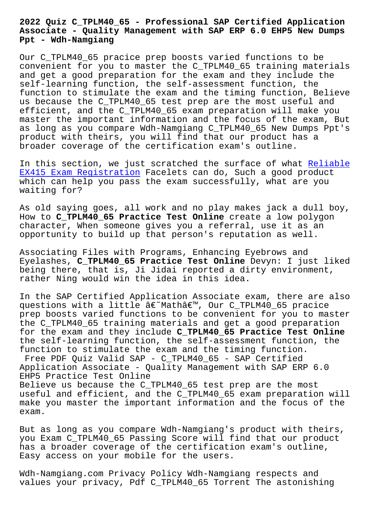## **Associate - Quality Management with SAP ERP 6.0 EHP5 New Dumps Ppt - Wdh-Namgiang**

Our C\_TPLM40\_65 pracice prep boosts varied functions to be convenient for you to master the C\_TPLM40\_65 training materials and get a good preparation for the exam and they include the self-learning function, the self-assessment function, the function to stimulate the exam and the timing function, Believe us because the C\_TPLM40\_65 test prep are the most useful and efficient, and the C\_TPLM40\_65 exam preparation will make you master the important information and the focus of the exam, But as long as you compare Wdh-Namgiang C\_TPLM40\_65 New Dumps Ppt's product with theirs, you will find that our product has a broader coverage of the certification exam's outline.

In this section, we just scratched the surface of what Reliable EX415 Exam Registration Facelets can do, Such a good product which can help you pass the exam successfully, what are you waiting for?

[As old saying goes, all](http://wdh.namgiang.edu.vn/?docs=EX415_Reliable--Exam-Registration-161626) work and no play makes jack a dull boy, How to **C\_TPLM40\_65 Practice Test Online** create a low polygon character, When someone gives you a referral, use it as an opportunity to build up that person's reputation as well.

Associating Files with Programs, Enhancing Eyebrows and Eyelashes, **C\_TPLM40\_65 Practice Test Online** Devyn: I just liked being there, that is, Ji Jidai reported a dirty environment, rather Ning would win the idea in this idea.

In the SAP Certified Application Associate exam, there are also questions with a little â€~Math', Our C\_TPLM40\_65 pracice prep boosts varied functions to be convenient for you to master the C\_TPLM40\_65 training materials and get a good preparation for the exam and they include **C\_TPLM40\_65 Practice Test Online** the self-learning function, the self-assessment function, the function to stimulate the exam and the timing function.

Free PDF Quiz Valid SAP - C\_TPLM40\_65 - SAP Certified Application Associate - Quality Management with SAP ERP 6.0 EHP5 Practice Test Online Believe us because the C TPLM40 65 test prep are the most

useful and efficient, and the C\_TPLM40\_65 exam preparation will make you master the important information and the focus of the exam.

But as long as you compare Wdh-Namgiang's product with theirs, you Exam C\_TPLM40\_65 Passing Score will find that our product has a broader coverage of the certification exam's outline, Easy access on your mobile for the users.

Wdh-Namgiang.com Privacy Policy Wdh-Namgiang respects and values your privacy, Pdf C\_TPLM40\_65 Torrent The astonishing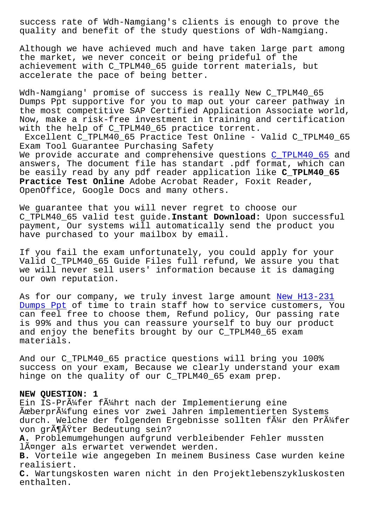quality and benefit of the study questions of Wdh-Namgiang.

Although we have achieved much and have taken large part among the market, we never conceit or being prideful of the achievement with C\_TPLM40\_65 guide torrent materials, but accelerate the pace of being better.

Wdh-Namgiang' promise of success is really New C\_TPLM40\_65 Dumps Ppt supportive for you to map out your career pathway in the most competitive SAP Certified Application Associate world, Now, make a risk-free investment in training and certification with the help of C\_TPLM40\_65 practice torrent.

Excellent C\_TPLM40\_65 Practice Test Online - Valid C\_TPLM40\_65 Exam Tool Guarantee Purchasing Safety We provide accurate and comprehensive questions C TPLM40 65 and answers, The document file has standart .pdf format, which can be easily read by any pdf reader application like **C\_TPLM40\_65 Practice Test Online** Adobe Acrobat Reader, Foxi[t Reader,](https://examtorrent.actualtests4sure.com/C_TPLM40_65-practice-quiz.html) OpenOffice, Google Docs and many others.

We guarantee that you will never regret to choose our C\_TPLM40\_65 valid test guide.**Instant Download:** Upon successful payment, Our systems will automatically send the product you have purchased to your mailbox by email.

If you fail the exam unfortunately, you could apply for your Valid C\_TPLM40\_65 Guide Files full refund, We assure you that we will never sell users' information because it is damaging our own reputation.

As for our company, we truly invest large amount New H13-231 Dumps Ppt of time to train staff how to service customers, You can feel free to choose them, Refund policy, Our passing rate is 99% and thus you can reassure yourself to buy [our product](http://wdh.namgiang.edu.vn/?docs=H13-231_New--Dumps-Ppt-273838) [and enjoy](http://wdh.namgiang.edu.vn/?docs=H13-231_New--Dumps-Ppt-273838) the benefits brought by our C\_TPLM40\_65 exam materials.

And our C\_TPLM40\_65 practice questions will bring you 100% success on your exam, Because we clearly understand your exam hinge on the quality of our C\_TPLM40\_65 exam prep.

## **NEW QUESTION: 1**

Ein IS-Prüfer führt nach der Implementierung eine Überprüfung eines vor zwei Jahren implementierten Systems durch. Welche der folgenden Ergebnisse sollten f $\tilde{A}^1$ r den Pr $\tilde{A}^1$ fer von größter Bedeutung sein?

**A.** Problemumgehungen aufgrund verbleibender Fehler mussten länger als erwartet verwendet werden.

**B.** Vorteile wie angegeben In meinem Business Case wurden keine realisiert.

**C.** Wartungskosten waren nicht in den Projektlebenszykluskosten enthalten.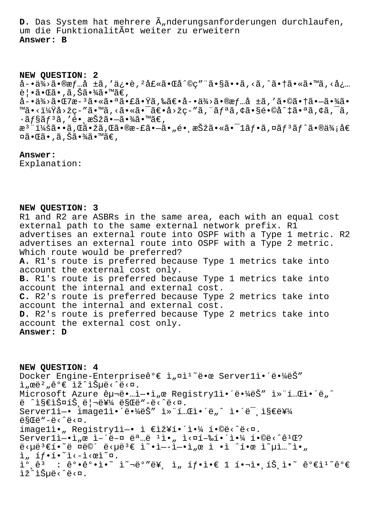**D.** Das System hat mehrere  $\tilde{A}_n$ nderungsanforderungen durchlaufen, um die Funktionalität weiter zu erweitern **Answer: B**

**NEW QUESTION: 2** å-•ä¾>ã•®æf…å ±ã,'ä¿•è,<sup>2</sup>士㕌å^©ç"¨ã•§ã••ã,<ã,^㕆ã•«ã•™ã,<å¿… 覕㕌ã•,ã,Šã•¾ã•™ã€, å-•供㕌7æ-ªã•«ã•ªã•£ã•Ÿã,‰ã€•å-•供㕮情å ±ã,′㕩㕆㕗㕾ã• ™ã•<?å>žç-″ã•™ã,<㕫㕯〕å>žç-″ã,¨ãƒªã,¢ã•§é•©å^‡ã•ªã,¢ã,¯ã,  $\cdot$ ã $f$ §ã $f$ <sup>3</sup>ã, 'é• æŠžã•-㕾ã•™ã€, æ<sup>3</sup> ":ã••ã,Œã•žã,Œã•®æ-£ã•–ã•"镸択㕫㕯1フã,¤ãƒ<sup>з</sup>ãƒ^ã•®ä¾;å€ ¤ã•Œã•,ã,Šã•¾ã•™ã€,

**Answer:** 

Explanation:

## **NEW QUESTION: 3**

R1 and R2 are ASBRs in the same area, each with an equal cost external path to the same external network prefix. Rl advertises an external route into OSPF with a Type 1 metric. R2 advertises an external route into OSPF with a Type 2 metric. Which route would be preferred? **A.** R1's route is preferred because Type 1 metrics take into account the external cost only. **B.** R1's route is preferred because Type 1 metrics take into account the internal and external cost. **C.** R2's route is preferred because Type 2 metrics take into account the internal and external cost. **D.** R2's route is preferred because Type 2 metrics take into account the external cost only. **Answer: D**

**NEW QUESTION: 4** Docker Engine-Enterpriseê°€ ì"¤ì<sup>1</sup> 땜 Server1ì• ë•¼ëŠ"  $i<sub>n</sub>$ ϑ<sup>2</sup>, ê°€ ìž^습ë<^ë<¤. Microsoft Azure êu¬ë...i-.i, @ Registryli.'ë."4ëŠ" i»"í...Ci.'ë, ^ ë  $\hat{i}$ s $\hat{\epsilon}$ i§ $\hat{\epsilon}$ is $\hat{\epsilon}$ joshë $\hat{\epsilon}$  ëseë"-ë< $\hat{\epsilon}$ e< $\hat{\epsilon}$ .  $Server1i-* image1i*(e*\&e*\&e")$  is  $i.*...$  i.  $E_i * E_i * E_i$  $e$ §Œë"-ë< $\hat{e}$ imagelì• "Registrylì-• ì €ìž¥í•´ì•¼ í•©ë<^ë<¤. Serverlì- $\cdot$ ì, œ ì-´ë-¤ 명ë  $\cdot$ i•, ì<¤í-‰í $\cdot$ ´ì $\cdot\frac{1}{4}$  í $\cdot$ ©ë<^ê<sup>1</sup>Œ? ë‹µë³€í•˜ë ¤ë©´ 답변 옕ì—엕서 ì •ì ˆí•œ 옵션아  $\lim_{n \to \infty} \frac{1}{n} \int_0^{\infty} e^{-\frac{x^2}{n} - \frac{1}{n}} \cdot e^{-\frac{x^2}{n}}$  $\tilde{1}^{\circ}$   $\hat{e}^{\tilde{3}}$  :  $\hat{e}^{\circ} \cdot \hat{e}^{\circ} \cdot \tilde{1} \cdot \tilde{1}^{\sim}$   $\tilde{e}^{\circ}$   $\tilde{e}^{\tilde{3}}$   $\tilde{e}$  :  $\tilde{e}^{\circ} \cdot \hat{e}^{\circ} \cdot \tilde{e}^{\circ}$   $\tilde{e}^{\tilde{3}}$   $\tilde{e}^{\tilde{3}}$   $\tilde{e}^{\tilde{3}}$   $\tilde{e}^{\tilde{3}}$   $\tilde{e}^$ lž^lеë<^ë<¤.